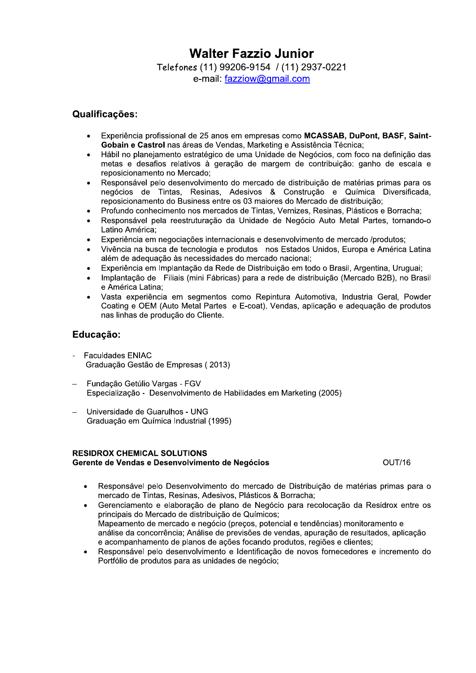# **Walter Fazzio Junior**

Telefones (11) 99206-9154 / (11) 2937-0221 e-mail: fazziow@gmail.com

## Qualificações:

- Experiência profissional de 25 anos em empresas como MCASSAB, DuPont, BASF, Saint-Gobain e Castrol nas áreas de Vendas, Marketing e Assistência Técnica:
- Hábil no planejamento estratégico de uma Unidade de Negócios, com foco na definição das metas e desafios relativos à geração de margem de contribuição: ganho de escala e reposicionamento no Mercado:
- Responsável pelo desenvolvimento do mercado de distribuição de matérias primas para os negócios de Tintas, Resinas, Adesivos & Construção e Química Diversificada, reposicionamento do Business entre os 03 maiores do Mercado de distribuição;
- Profundo conhecimento nos mercados de Tintas, Vernizes, Resinas, Plásticos e Borracha;
- Responsável pela reestruturação da Unidade de Negócio Auto Metal Partes, tornando-o Latino América:
- Experiência em negociações internacionais e desenvolvimento de mercado /produtos;
- Vivência na busca de tecnologia e produtos nos Estados Unidos. Europa e América Latina além de adequação às necessidades do mercado nacional;
- Experiência em Implantação da Rede de Distribuição em todo o Brasil, Argentina, Uruguai;
- Implantação de Filiais (mini Fábricas) para a rede de distribuição (Mercado B2B), no Brasil e América Latina:
- Vasta experiência em segmentos como Repintura Automotiva, Industria Geral, Powder Coating e OEM (Auto Metal Partes e E-coat). Vendas, aplicação e adequação de produtos nas linhas de produção do Cliente.

# Educação:

- **Faculdades ENIAC** Graduação Gestão de Empresas (2013)
- Fundação Getúlio Vargas FGV Especialização - Desenvolvimento de Habilidades em Marketing (2005)
- Universidade de Guarulhos UNG Graduação em Química Industrial (1995)

#### **RESIDROX CHEMICAL SOLUTIONS** Gerente de Vendas e Desenvolvimento de Negócios

OUT/16

- Responsável pelo Desenvolvimento do mercado de Distribuição de matérias primas para o  $\bullet$ mercado de Tintas, Resinas, Adesivos, Plásticos & Borracha;
- Gerenciamento e elaboração de plano de Negócio para recolocação da Residrox entre os principais do Mercado de distribuição de Químicos: Mapeamento de mercado e negócio (precos, potencial e tendências) monitoramento e análise da concorrência; Análise de previsões de vendas, apuração de resultados, aplicação e acompanhamento de planos de ações focando produtos, regiões e clientes;
- Responsável pelo desenvolvimento e Identificação de novos fornecedores e incremento do Portfólio de produtos para as unidades de negócio;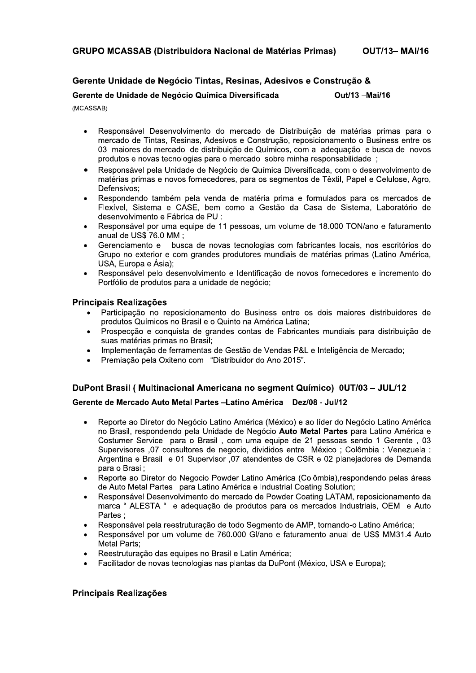### Gerente Unidade de Negócio Tintas, Resinas, Adesivos e Construção &

Gerente de Unidade de Negócio Química Diversificada Out/13 -Mai/16

(MCASSAB)

- Responsável Desenvolvimento do mercado de Distribuição de matérias primas para o  $\bullet$ mercado de Tintas, Resinas, Adesivos e Construção, reposicionamento o Business entre os 03 maiores do mercado de distribuição de Químicos, com a adequação e busca de novos produtos e novas tecnologias para o mercado sobre minha responsabilidade ;
- Responsável pela Unidade de Negócio de Química Diversificada, com o desenvolvimento de matérias primas e novos fornecedores, para os segmentos de Têxtil, Papel e Celulose, Agro, Defensivos;
- Respondendo também pela venda de matéria prima e formulados para os mercados de Flexível, Sistema e CASE, bem como a Gestão da Casa de Sistema, Laboratório de desenvolvimento e Fábrica de PU :
- Responsável por uma equipe de 11 pessoas, um volume de 18.000 TON/ano e faturamento anual de US\$ 76.0 MM :
- Gerenciamento e busca de novas tecnologias com fabricantes locais, nos escritórios do Grupo no exterior e com grandes produtores mundiais de matérias primas (Latino América, USA, Europa e Ásia);
- Responsável pelo desenvolvimento e Identificação de novos fornecedores e incremento do Portfólio de produtos para a unidade de negócio;

#### **Principais Realizações**

- Participação no reposicionamento do Business entre os dois maiores distribuidores de produtos Químicos no Brasil e o Quinto na América Latina;
- Prospecção e conquista de grandes contas de Fabricantes mundiais para distribuição de suas matérias primas no Brasil;
- Implementação de ferramentas de Gestão de Vendas P&L e Inteligência de Mercado;
- Premiação pela Oxiteno com "Distribuidor do Ano 2015".

#### DuPont Brasil (Multinacional Americana no segment Químico) 0UT/03 - JUL/12

#### Gerente de Mercado Auto Metal Partes - Latino América Dez/08 - Jul/12

- Reporte ao Diretor do Negócio Latino América (México) e ao líder do Negócio Latino América no Brasil, respondendo pela Unidade de Negócio Auto Metal Partes para Latino América e Costumer Service para o Brasil, com uma equipe de 21 pessoas sendo 1 Gerente, 03 Supervisores ,07 consultores de negocio, divididos entre México ; Colômbia : Venezuela : Argentina e Brasil e 01 Supervisor ,07 atendentes de CSR e 02 planejadores de Demanda para o Brasil;
- Reporte ao Diretor do Negocio Powder Latino América (Colômbia).respondendo pelas áreas de Auto Metal Partes para Latino América e Industrial Coating Solution:
- Responsável Desenvolvimento do mercado de Powder Coating LATAM, reposicionamento da marca " ALESTA " e adequação de produtos para os mercados Industriais, OEM e Auto Partes:
- Responsável pela reestruturação de todo Segmento de AMP, tornando-o Latino América:
- Responsável por um volume de 760.000 Gl/ano e faturamento anual de US\$ MM31.4 Auto Metal Parts;
- Reestruturação das equipes no Brasil e Latin América;
- Facilitador de novas tecnologias nas plantas da DuPont (México, USA e Europa);

#### Principais Realizações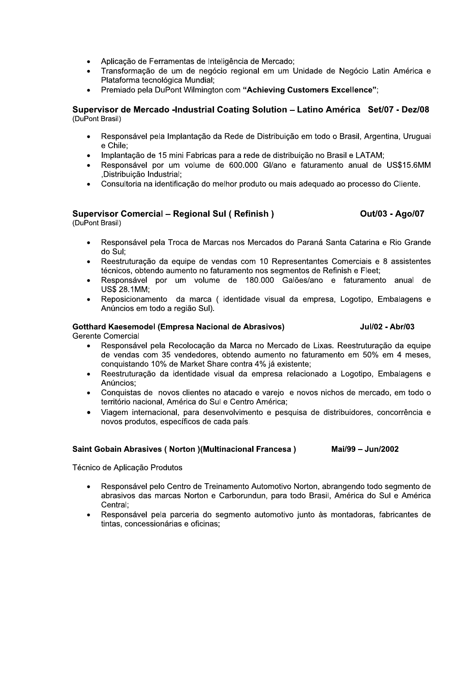- Aplicação de Ferramentas de Inteligência de Mercado;
- Transformação de um de negócio regional em um Unidade de Negócio Latin América e Plataforma tecnológica Mundial;
- Premiado pela DuPont Wilmington com "Achieving Customers Excellence";

#### Supervisor de Mercado -Industrial Coating Solution - Latino América Set/07 - Dez/08 (DuPont Brasil)

- Responsável pela Implantação da Rede de Distribuição em todo o Brasil, Argentina, Uruguai e Chile:
- Implantação de 15 mini Fabricas para a rede de distribuição no Brasil e LATAM;
- Responsável por um volume de 600.000 Gl/ano e faturamento anual de US\$15.6MM .Distribuicão Industrial:
- Consultoria na identificação do melhor produto ou mais adequado ao processo do Cliente.

#### **Supervisor Comercial - Regional Sul (Refinish)**

(DuPont Brasil)

- Responsável pela Troca de Marcas nos Mercados do Paraná Santa Catarina e Rio Grande do Sul:
- Reestruturação da equipe de vendas com 10 Representantes Comerciais e 8 assistentes técnicos, obtendo aumento no faturamento nos segmentos de Refinish e Fleet;
- Responsável por um volume de 180.000 Galões/ano e faturamento anual de **US\$ 28.1MM;**
- Reposicionamento da marca (identidade visual da empresa, Logotipo, Embalagens e Anúncios em todo a região Sul).

# **Gotthard Kaesemodel (Empresa Nacional de Abrasivos)**

Jul/02 - Abr/03

Out/03 - Ago/07

**Gerente Comercial** 

- Responsável pela Recolocação da Marca no Mercado de Lixas. Reestruturação da equipe de vendas com 35 vendedores, obtendo aumento no faturamento em 50% em 4 meses, conquistando 10% de Market Share contra 4% já existente:
- Reestruturação da identidade visual da empresa relacionado a Logotipo. Embalagens e Anúncios:
- Conquistas de novos clientes no atacado e vareio e novos nichos de mercado, em todo o território nacional. América do Sul e Centro América:
- Viagem internacional, para desenvolvimento e pesquisa de distribuidores, concorrência e novos produtos, específicos de cada país.

#### **Saint Gobain Abrasives (Norton )(Multinacional Francesa)** Mai/99 - Jun/2002

Técnico de Aplicação Produtos

- Responsável pelo Centro de Treinamento Automotivo Norton, abrangendo todo segmento de abrasivos das marcas Norton e Carborundun, para todo Brasil, América do Sul e América Central:
- Responsável pela parceria do segmento automotivo junto às montadoras, fabricantes de tintas, concessionárias e oficinas: